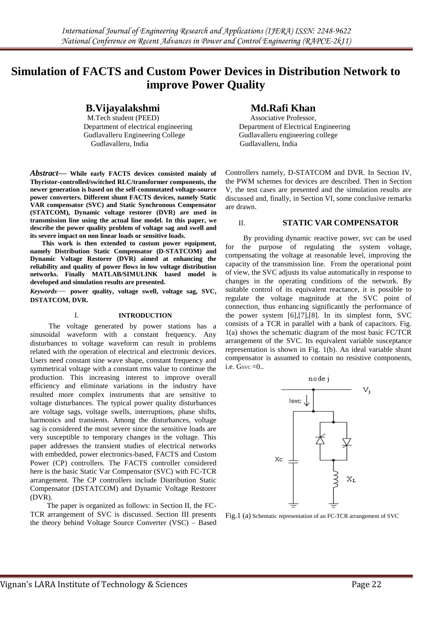# **Simulation of FACTS and Custom Power Devices in Distribution Network to improve Power Quality**

**B.Vijayalakshmi Md.Rafi Khan**<br>M.Tech student (PEED) **Md.Rafi Khan**<br>Associative Professor,

M.Tech student (PEED) Gudlavalleru Engineering College Gudlavalleru engineering college Gudlavalleru, India Gudlavalleru, India

*Abstract***— While early FACTS devices consisted mainly of Thyristor-controlled/switched RLC/transformer components, the newer generation is based on the self-commutated voltage-source power converters. Different shunt FACTS devices, namely Static VAR compensator (SVC) and Static Synchronous Compensator (STATCOM), Dynamic voltage restorer (DVR) are used in transmission line using the actual line model. In this paper, we describe the power quality problem of voltage sag and swell and its severe impact on non linear loads or sensitive loads.**

 **This work is then extended to custom power equipment, namely Distribution Static Compensator (D-STATCOM) and Dynamic Voltage Restorer (DVR) aimed at enhancing the reliability and quality of power flows in low voltage distribution networks. Finally MATLAB/SIMULINK based model is developed and simulation results are presented.**

*Keywords*— **power quality, voltage swell, voltage sag, SVC, DSTATCOM, DVR.**

#### I. **INTRODUCTION**

 The voltage generated by power stations has a sinusoidal waveform with a constant frequency. Any disturbances to voltage waveform can result in problems related with the operation of electrical and electronic devices. Users need constant sine wave shape, constant frequency and symmetrical voltage with a constant rms value to continue the production. This increasing interest to improve overall efficiency and eliminate variations in the industry have resulted more complex instruments that are sensitive to voltage disturbances. The typical power quality disturbances are voltage sags, voltage swells, interruptions, phase shifts, harmonics and transients. Among the disturbances, voltage sag is considered the most severe since the sensitive loads are very susceptible to temporary changes in the voltage. This paper addresses the transient studies of electrical networks with embedded, power electronics-based, FACTS and Custom Power (CP) controllers. The FACTS controller considered here is the basic Static Var Compensator (SVC) with FC-TCR arrangement. The CP controllers include Distribution Static Compensator (DSTATCOM) and Dynamic Voltage Restorer (DVR).

 The paper is organized as follows: in Section II, the FC-TCR arrangement of SVC is discussed. Section III presents the theory behind Voltage Source Converter (VSC) – Based

Department of electrical engineering Department of Electrical Engineering

Controllers namely, D-STATCOM and DVR. In Section IV, the PWM schemes for devices are described. Then in Section V, the test cases are presented and the simulation results are discussed and, finally, in Section VI, some conclusive remarks are drawn.

# II. **STATIC VAR COMPENSATOR**

 By providing dynamic reactive power, svc can be used for the purpose of regulating the system voltage, compensating the voltage at reasonable level, improving the capacity of the transmission line. From the operational point of view, the SVC adjusts its value automatically in response to changes in the operating conditions of the network. By suitable control of its equivalent reactance, it is possible to regulate the voltage magnitude at the SVC point of connection, thus enhancing significantly the performance of the power system [6],[7],[8]. In its simplest form, SVC consists of a TCR in parallel with a bank of capacitors. Fig. 1(a) shows the schematic diagram of the most basic FC/TCR arrangement of the SVC. Its equivalent variable susceptance representation is shown in Fig. 1(b). An ideal variable shunt compensator is assumed to contain no resistive components, i.e.  $G$ svc  $=0$ ..



Fig.1 (a) Schematic representation of an FC-TCR arrangement of SVC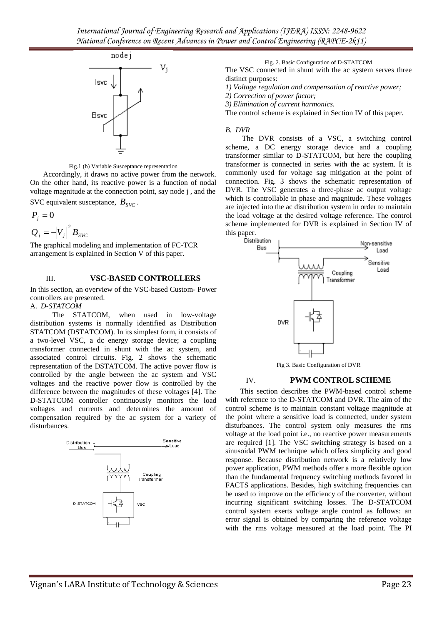

Fig.1 (b) Variable Susceptance representation

 Accordingly, it draws no active power from the network. On the other hand, its reactive power is a function of nodal voltage magnitude at the connection point, say node j , and the SVC equivalent susceptance,  $B_{SVC}$ .

 $P_{j} = 0$ 

$$
Q_j = -|V_j|^2 B_{SVC}
$$

The graphical modeling and implementation of FC-TCR arrangement is explained in Section V of this paper.

# III. **VSC-BASED CONTROLLERS**

In this section, an overview of the VSC-based Custom- Power controllers are presented.

A. *D-STATCOM*

 The STATCOM, when used in low-voltage distribution systems is normally identified as Distribution STATCOM (DSTATCOM). In its simplest form, it consists of a two-level VSC, a dc energy storage device; a coupling transformer connected in shunt with the ac system, and associated control circuits. Fig. 2 shows the schematic representation of the DSTATCOM. The active power flow is controlled by the angle between the ac system and VSC voltages and the reactive power flow is controlled by the difference between the magnitudes of these voltages [4]. The D-STATCOM controller continuously monitors the load voltages and currents and determines the amount of compensation required by the ac system for a variety of disturbances.



Fig. 2. Basic Configuration of D-STATCOM

The VSC connected in shunt with the ac system serves three distinct purposes:

*1) Voltage regulation and compensation of reactive power;*

*2) Correction of power factor;*

*3) Elimination of current harmonics.*

The control scheme is explained in Section IV of this paper.

#### *B. DVR*

 The DVR consists of a VSC, a switching control scheme, a DC energy storage device and a coupling transformer similar to D-STATCOM, but here the coupling transformer is connected in series with the ac system. It is commonly used for voltage sag mitigation at the point of connection. Fig. 3 shows the schematic representation of DVR. The VSC generates a three-phase ac output voltage which is controllable in phase and magnitude. These voltages are injected into the ac distribution system in order to maintain the load voltage at the desired voltage reference. The control scheme implemented for DVR is explained in Section IV of this paper.<br>Distribution





### IV. **PWM CONTROL SCHEME**

 This section describes the PWM-based control scheme with reference to the D-STATCOM and DVR. The aim of the control scheme is to maintain constant voltage magnitude at the point where a sensitive load is connected, under system disturbances. The control system only measures the rms voltage at the load point i.e., no reactive power measurements are required [1]. The VSC switching strategy is based on a sinusoidal PWM technique which offers simplicity and good response. Because distribution network is a relatively low power application, PWM methods offer a more flexible option than the fundamental frequency switching methods favored in FACTS applications. Besides, high switching frequencies can be used to improve on the efficiency of the converter, without incurring significant switching losses. The D-STATCOM control system exerts voltage angle control as follows: an error signal is obtained by comparing the reference voltage with the rms voltage measured at the load point. The PI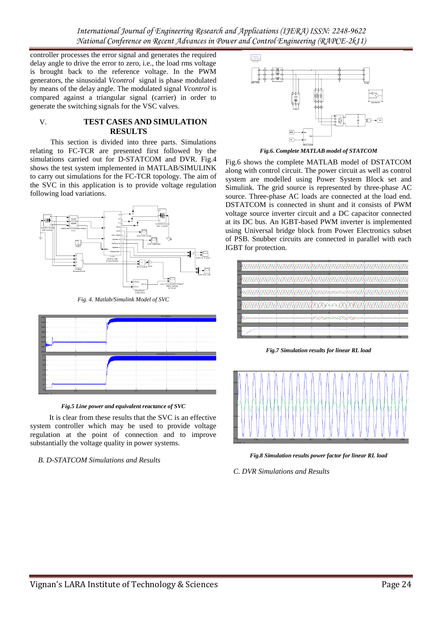*International Journal of Engineering Research and Applications (IJERA) ISSN: 2248-9622 National Conference on Recent Advances in Power and Control Engineering (RAPCE-2k11)*

controller processes the error signal and generates the required delay angle to drive the error to zero, i.e., the load rms voltage is brought back to the reference voltage. In the PWM generators, the sinusoidal *Vcontrol* signal is phase modulated by means of the delay angle. The modulated signal *Vcontrol* is compared against a triangular signal (carrier) in order to generate the switching signals for the VSC valves.

#### V. **TEST CASES AND SIMULATION RESULTS**

 This section is divided into three parts. Simulations relating to FC-TCR are presented first followed by the simulations carried out for D-STATCOM and DVR. Fig.4 shows the test system implemented in MATLAB/SIMULINK to carry out simulations for the FC-TCR topology. The aim of the SVC in this application is to provide voltage regulation following load variations.



*Fig. 4. Matlab/Simulink Model of SVC*



*Fig.5 Line power and equivalent reactance of SVC*

 It is clear from these results that the SVC is an effective system controller which may be used to provide voltage regulation at the point of connection and to improve substantially the voltage quality in power systems.

*B. D-STATCOM Simulations and Results*



*Fig.6. Complete MATLAB model of STATCOM*

Fig.6 shows the complete MATLAB model of DSTATCOM along with control circuit. The power circuit as well as control system are modelled using Power System Block set and Simulink. The grid source is represented by three-phase AC source. Three-phase AC loads are connected at the load end. DSTATCOM is connected in shunt and it consists of PWM voltage source inverter circuit and a DC capacitor connected at its DC bus. An IGBT-based PWM inverter is implemented using Universal bridge block from Power Electronics subset of PSB. Snubber circuits are connected in parallel with each IGBT for protection.



*Fig.7 Simulation results for linear RL load*



*Fig.8 Simulation results power factor for linear RL load*

*C. DVR Simulations and Results*